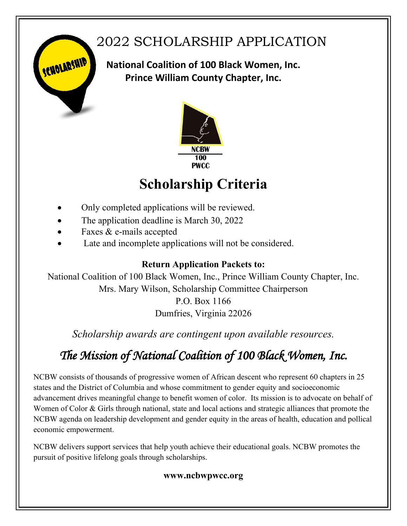## 2022 SCHOLARSHIP APPLICATION

**National Coalition of 100 Black Women, Inc. Prince William County Chapter, Inc.**



## **Scholarship Criteria**

- Only completed applications will be reviewed.
- The application deadline is March 30, 2022
- Faxes & e-mails accepted

SCHOLARSHIP

Late and incomplete applications will not be considered.

### **Return Application Packets to:**

National Coalition of 100 Black Women, Inc., Prince William County Chapter, Inc. Mrs. Mary Wilson, Scholarship Committee Chairperson

> P.O. Box 1166 Dumfries, Virginia 22026

*Scholarship awards are contingent upon available resources.*

## *The Mission of National Coalition of 100 Black Women, Inc.*

NCBW consists of thousands of progressive women of African descent who represent 60 chapters in 25 states and the District of Columbia and whose commitment to gender equity and socioeconomic advancement drives meaningful change to benefit women of color. Its mission is to advocate on behalf of Women of Color & Girls through national, state and local actions and strategic alliances that promote the NCBW agenda on leadership development and gender equity in the areas of health, education and pollical economic empowerment.

NCBW delivers support services that help youth achieve their educational goals. NCBW promotes the pursuit of positive lifelong goals through scholarships.

### **www.ncbwpwcc.org**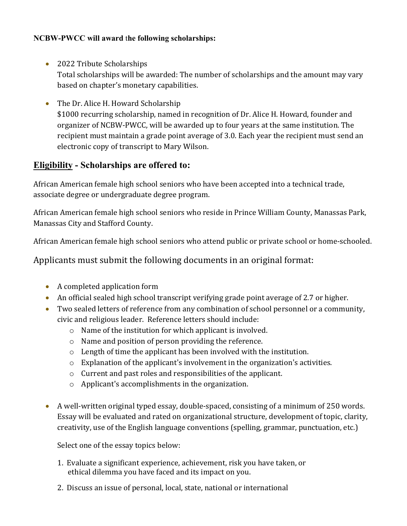#### **NCBW-PWCC will award** t**he following scholarships:**

- 2022 Tribute Scholarships Total scholarships will be awarded: The number of scholarships and the amount may vary based on chapter's monetary capabilities.
- The Dr. Alice H. Howard Scholarship \$1000 recurring scholarship, named in recognition of Dr. Alice H. Howard, founder and organizer of NCBW-PWCC, will be awarded up to four years at the same institution. The recipient must maintain a grade point average of 3.0. Each year the recipient must send an electronic copy of transcript to Mary Wilson.

### **Eligibility - Scholarships are offered to:**

African American female high school seniors who have been accepted into a technical trade, associate degree or undergraduate degree program.

African American female high school seniors who reside in Prince William County, Manassas Park, Manassas City and Stafford County.

African American female high school seniors who attend public or private school or home-schooled.

Applicants must submit the following documents in an original format:

- A completed application form
- An official sealed high school transcript verifying grade point average of 2.7 or higher.
- Two sealed letters of reference from any combination of school personnel or a community, civic and religious leader. Reference letters should include:
	- o Name of the institution for which applicant is involved.
	- o Name and position of person providing the reference.
	- o Length of time the applicant has been involved with the institution.
	- o Explanation of the applicant's involvement in the organization's activities.
	- o Current and past roles and responsibilities of the applicant.
	- o Applicant's accomplishments in the organization.
- A well-written original typed essay, double-spaced, consisting of a minimum of 250 words. Essay will be evaluated and rated on organizational structure, development of topic, clarity, creativity, use of the English language conventions (spelling, grammar, punctuation, etc.)

Select one of the essay topics below:

- 1. Evaluate a significant experience, achievement, risk you have taken, or ethical dilemma you have faced and its impact on you.
- 2. Discuss an issue of personal, local, state, national or international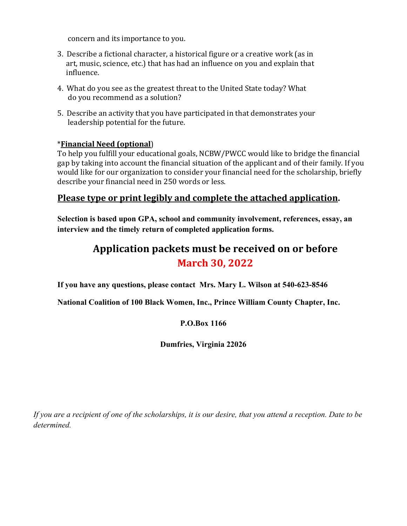concern and its importance to you.

- 3. Describe a fictional character, a historical figure or a creative work (as in art, music, science, etc.) that has had an influence on you and explain that influence.
- 4. What do you see as the greatest threat to the United State today? What do you recommend as a solution?
- 5. Describe an activity that you have participated in that demonstrates your leadership potential for the future.

#### \***Financial Need (optional**)

To help you fulfill your educational goals, NCBW/PWCC would like to bridge the financial gap by taking into account the financial situation of the applicant and of their family. If you would like for our organization to consider your financial need for the scholarship, briefly describe your financial need in 250 words or less.

### **Please type or print legibly and complete the attached application.**

**Selection is based upon GPA, school and community involvement, references, essay, an interview and the timely return of completed application forms.**

## **Application packets must be received on or before March 30, 2022**

**If you have any questions, please contact Mrs. Mary L. Wilson at 540-623-8546** 

**National Coalition of 100 Black Women, Inc., Prince William County Chapter, Inc.** 

#### **P.O.Box 1166**

**Dumfries, Virginia 22026**

*If you are a recipient of one of the scholarships, it is our desire, that you attend a reception. Date to be determined.*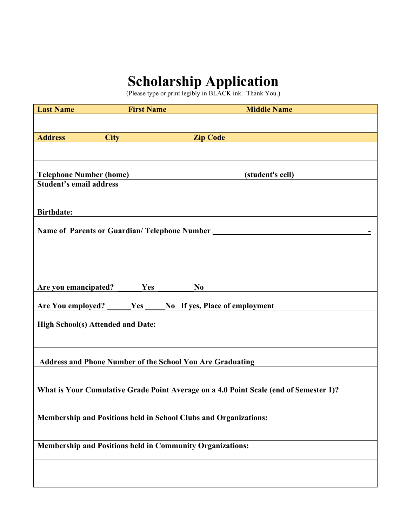# **Scholarship Application**

(Please type or print legibly in BLACK ink. Thank You.)

| <b>Last Name</b>                                                                      | <b>First Name</b> | <b>Middle Name</b> |  |  |
|---------------------------------------------------------------------------------------|-------------------|--------------------|--|--|
|                                                                                       |                   |                    |  |  |
| <b>Address</b>                                                                        | <b>City</b>       | <b>Zip Code</b>    |  |  |
|                                                                                       |                   |                    |  |  |
|                                                                                       |                   |                    |  |  |
|                                                                                       |                   |                    |  |  |
| <b>Telephone Number (home)</b><br>(student's cell)<br><b>Student's email address</b>  |                   |                    |  |  |
|                                                                                       |                   |                    |  |  |
|                                                                                       |                   |                    |  |  |
| <b>Birthdate:</b>                                                                     |                   |                    |  |  |
| Name of Parents or Guardian/Telephone Number                                          |                   |                    |  |  |
|                                                                                       |                   |                    |  |  |
|                                                                                       |                   |                    |  |  |
|                                                                                       |                   |                    |  |  |
|                                                                                       |                   |                    |  |  |
| Are you emancipated?                                                                  | Yes               | N <sub>0</sub>     |  |  |
|                                                                                       |                   |                    |  |  |
| Are You employed?<br>Yes<br>No If yes, Place of employment                            |                   |                    |  |  |
| <b>High School(s) Attended and Date:</b>                                              |                   |                    |  |  |
|                                                                                       |                   |                    |  |  |
|                                                                                       |                   |                    |  |  |
| <b>Address and Phone Number of the School You Are Graduating</b>                      |                   |                    |  |  |
|                                                                                       |                   |                    |  |  |
|                                                                                       |                   |                    |  |  |
| What is Your Cumulative Grade Point Average on a 4.0 Point Scale (end of Semester 1)? |                   |                    |  |  |
|                                                                                       |                   |                    |  |  |
| Membership and Positions held in School Clubs and Organizations:                      |                   |                    |  |  |
|                                                                                       |                   |                    |  |  |
| <b>Membership and Positions held in Community Organizations:</b>                      |                   |                    |  |  |
|                                                                                       |                   |                    |  |  |
|                                                                                       |                   |                    |  |  |
|                                                                                       |                   |                    |  |  |